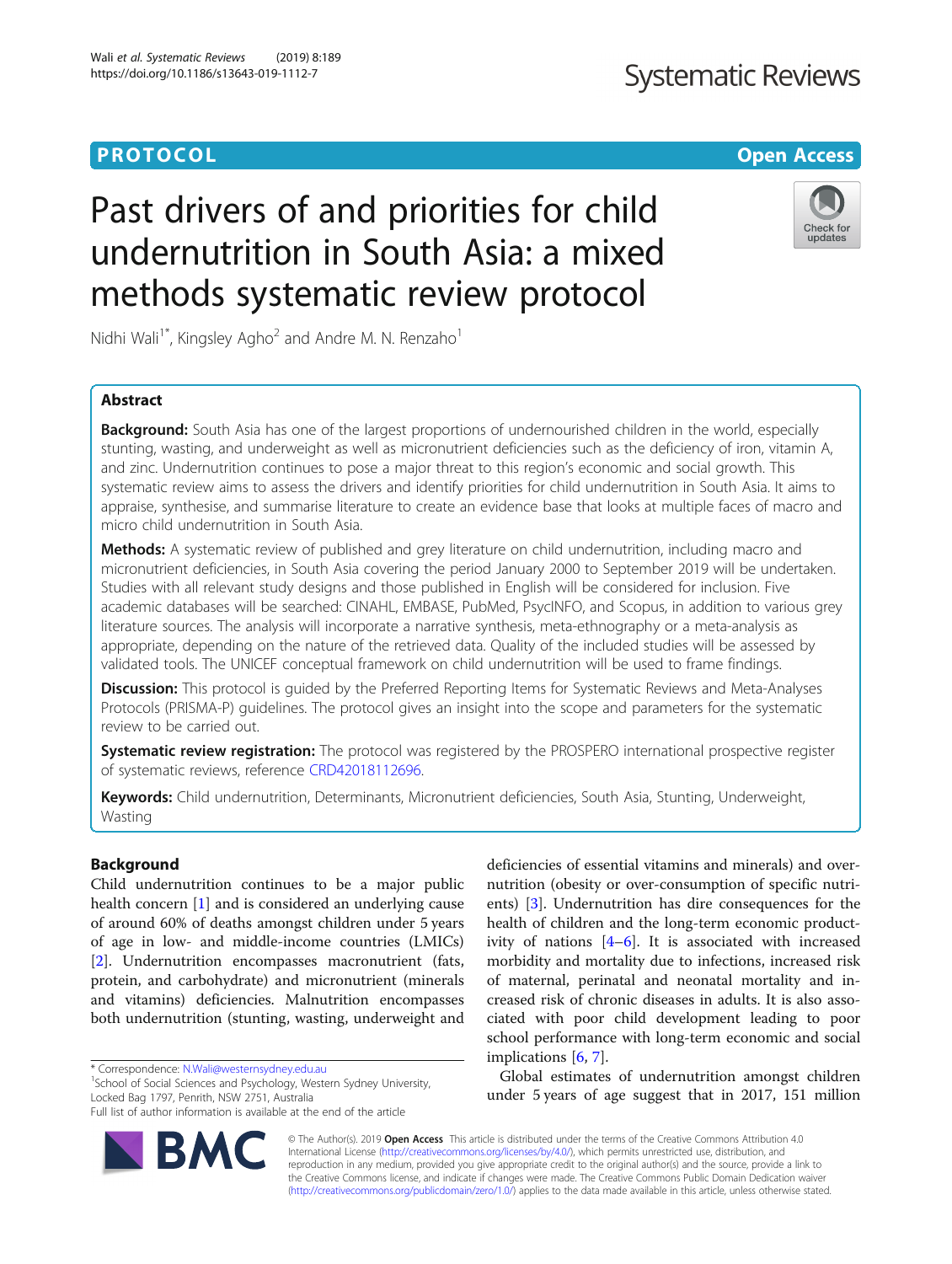### **PROTOCOL CONSUMING THE CONSUMING TEACHER CONSUMING THE CONSUMING TEACHER CONSUMING THE CONSUMING TEACHER CONSUMING**

## **Systematic Reviews**

# Past drivers of and priorities for child undernutrition in South Asia: a mixed methods systematic review protocol



Nidhi Wali<sup>1\*</sup>, Kingsley Agho<sup>2</sup> and Andre M. N. Renzaho<sup>1</sup>

#### Abstract

**Background:** South Asia has one of the largest proportions of undernourished children in the world, especially stunting, wasting, and underweight as well as micronutrient deficiencies such as the deficiency of iron, vitamin A, and zinc. Undernutrition continues to pose a major threat to this region's economic and social growth. This systematic review aims to assess the drivers and identify priorities for child undernutrition in South Asia. It aims to appraise, synthesise, and summarise literature to create an evidence base that looks at multiple faces of macro and micro child undernutrition in South Asia.

Methods: A systematic review of published and grey literature on child undernutrition, including macro and micronutrient deficiencies, in South Asia covering the period January 2000 to September 2019 will be undertaken. Studies with all relevant study designs and those published in English will be considered for inclusion. Five academic databases will be searched: CINAHL, EMBASE, PubMed, PsycINFO, and Scopus, in addition to various grey literature sources. The analysis will incorporate a narrative synthesis, meta-ethnography or a meta-analysis as appropriate, depending on the nature of the retrieved data. Quality of the included studies will be assessed by validated tools. The UNICEF conceptual framework on child undernutrition will be used to frame findings.

Discussion: This protocol is quided by the Preferred Reporting Items for Systematic Reviews and Meta-Analyses Protocols (PRISMA-P) guidelines. The protocol gives an insight into the scope and parameters for the systematic review to be carried out.

Systematic review registration: The protocol was registered by the PROSPERO international prospective register of systematic reviews, reference [CRD42018112696.](http://www.crd.york.ac.uk/PROSPERO/display_record.php?ID=CRD42018112696)

Keywords: Child undernutrition, Determinants, Micronutrient deficiencies, South Asia, Stunting, Underweight, Wasting

#### Background

Child undernutrition continues to be a major public health concern [[1\]](#page-6-0) and is considered an underlying cause of around 60% of deaths amongst children under 5 years of age in low- and middle-income countries (LMICs) [[2\]](#page-6-0). Undernutrition encompasses macronutrient (fats, protein, and carbohydrate) and micronutrient (minerals and vitamins) deficiencies. Malnutrition encompasses both undernutrition (stunting, wasting, underweight and

\* Correspondence: [N.Wali@westernsydney.edu.au](mailto:N.Wali@westernsydney.edu.au) <sup>1</sup>

<sup>1</sup>School of Social Sciences and Psychology, Western Sydney University, Locked Bag 1797, Penrith, NSW 2751, Australia

Full list of author information is available at the end of the article



deficiencies of essential vitamins and minerals) and overnutrition (obesity or over-consumption of specific nutrients) [[3\]](#page-6-0). Undernutrition has dire consequences for the health of children and the long-term economic productivity of nations [[4](#page-6-0)–[6](#page-6-0)]. It is associated with increased morbidity and mortality due to infections, increased risk of maternal, perinatal and neonatal mortality and increased risk of chronic diseases in adults. It is also associated with poor child development leading to poor school performance with long-term economic and social implications [[6,](#page-6-0) [7\]](#page-6-0).

Global estimates of undernutrition amongst children under 5 years of age suggest that in 2017, 151 million

© The Author(s). 2019 Open Access This article is distributed under the terms of the Creative Commons Attribution 4.0 International License [\(http://creativecommons.org/licenses/by/4.0/](http://creativecommons.org/licenses/by/4.0/)), which permits unrestricted use, distribution, and reproduction in any medium, provided you give appropriate credit to the original author(s) and the source, provide a link to the Creative Commons license, and indicate if changes were made. The Creative Commons Public Domain Dedication waiver [\(http://creativecommons.org/publicdomain/zero/1.0/](http://creativecommons.org/publicdomain/zero/1.0/)) applies to the data made available in this article, unless otherwise stated.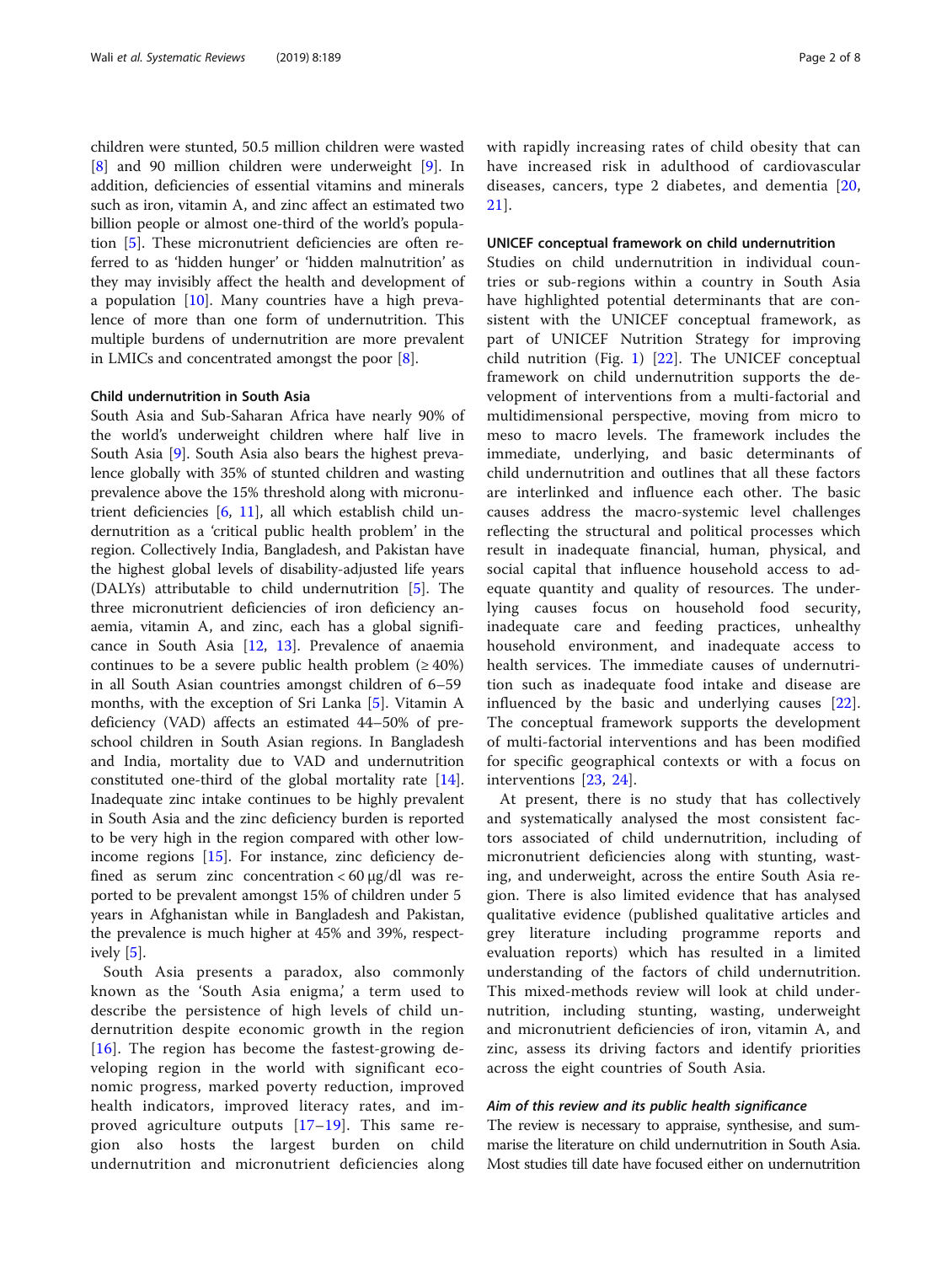children were stunted, 50.5 million children were wasted [[8\]](#page-6-0) and 90 million children were underweight [\[9](#page-6-0)]. In addition, deficiencies of essential vitamins and minerals such as iron, vitamin A, and zinc affect an estimated two billion people or almost one-third of the world's population [[5](#page-6-0)]. These micronutrient deficiencies are often referred to as 'hidden hunger' or 'hidden malnutrition' as they may invisibly affect the health and development of a population  $[10]$ . Many countries have a high prevalence of more than one form of undernutrition. This multiple burdens of undernutrition are more prevalent in LMICs and concentrated amongst the poor [[8\]](#page-6-0).

#### Child undernutrition in South Asia

South Asia and Sub-Saharan Africa have nearly 90% of the world's underweight children where half live in South Asia [[9\]](#page-6-0). South Asia also bears the highest prevalence globally with 35% of stunted children and wasting prevalence above the 15% threshold along with micronutrient deficiencies [\[6](#page-6-0), [11](#page-6-0)], all which establish child undernutrition as a 'critical public health problem' in the region. Collectively India, Bangladesh, and Pakistan have the highest global levels of disability-adjusted life years (DALYs) attributable to child undernutrition [[5](#page-6-0)]. The three micronutrient deficiencies of iron deficiency anaemia, vitamin A, and zinc, each has a global significance in South Asia [\[12](#page-6-0), [13\]](#page-6-0). Prevalence of anaemia continues to be a severe public health problem  $(≥ 40%)$ in all South Asian countries amongst children of 6–59 months, with the exception of Sri Lanka [[5\]](#page-6-0). Vitamin A deficiency (VAD) affects an estimated 44–50% of preschool children in South Asian regions. In Bangladesh and India, mortality due to VAD and undernutrition constituted one-third of the global mortality rate [\[14](#page-6-0)]. Inadequate zinc intake continues to be highly prevalent in South Asia and the zinc deficiency burden is reported to be very high in the region compared with other lowincome regions [[15\]](#page-6-0). For instance, zinc deficiency defined as serum zinc concentration  $< 60 \mu g/dl$  was reported to be prevalent amongst 15% of children under 5 years in Afghanistan while in Bangladesh and Pakistan, the prevalence is much higher at 45% and 39%, respectively  $[5]$  $[5]$ .

South Asia presents a paradox, also commonly known as the 'South Asia enigma,' a term used to describe the persistence of high levels of child undernutrition despite economic growth in the region [[16](#page-6-0)]. The region has become the fastest-growing developing region in the world with significant economic progress, marked poverty reduction, improved health indicators, improved literacy rates, and improved agriculture outputs [[17](#page-6-0)–[19\]](#page-6-0). This same region also hosts the largest burden on child undernutrition and micronutrient deficiencies along with rapidly increasing rates of child obesity that can have increased risk in adulthood of cardiovascular diseases, cancers, type 2 diabetes, and dementia [\[20](#page-6-0), [21\]](#page-6-0).

#### UNICEF conceptual framework on child undernutrition

Studies on child undernutrition in individual countries or sub-regions within a country in South Asia have highlighted potential determinants that are consistent with the UNICEF conceptual framework, as part of UNICEF Nutrition Strategy for improving child nutrition (Fig. [1](#page-2-0)) [\[22\]](#page-6-0). The UNICEF conceptual framework on child undernutrition supports the development of interventions from a multi-factorial and multidimensional perspective, moving from micro to meso to macro levels. The framework includes the immediate, underlying, and basic determinants of child undernutrition and outlines that all these factors are interlinked and influence each other. The basic causes address the macro-systemic level challenges reflecting the structural and political processes which result in inadequate financial, human, physical, and social capital that influence household access to adequate quantity and quality of resources. The underlying causes focus on household food security, inadequate care and feeding practices, unhealthy household environment, and inadequate access to health services. The immediate causes of undernutrition such as inadequate food intake and disease are influenced by the basic and underlying causes [\[22](#page-6-0)]. The conceptual framework supports the development of multi-factorial interventions and has been modified for specific geographical contexts or with a focus on interventions [[23,](#page-6-0) [24](#page-6-0)].

At present, there is no study that has collectively and systematically analysed the most consistent factors associated of child undernutrition, including of micronutrient deficiencies along with stunting, wasting, and underweight, across the entire South Asia region. There is also limited evidence that has analysed qualitative evidence (published qualitative articles and grey literature including programme reports and evaluation reports) which has resulted in a limited understanding of the factors of child undernutrition. This mixed-methods review will look at child undernutrition, including stunting, wasting, underweight and micronutrient deficiencies of iron, vitamin A, and zinc, assess its driving factors and identify priorities across the eight countries of South Asia.

#### Aim of this review and its public health significance

The review is necessary to appraise, synthesise, and summarise the literature on child undernutrition in South Asia. Most studies till date have focused either on undernutrition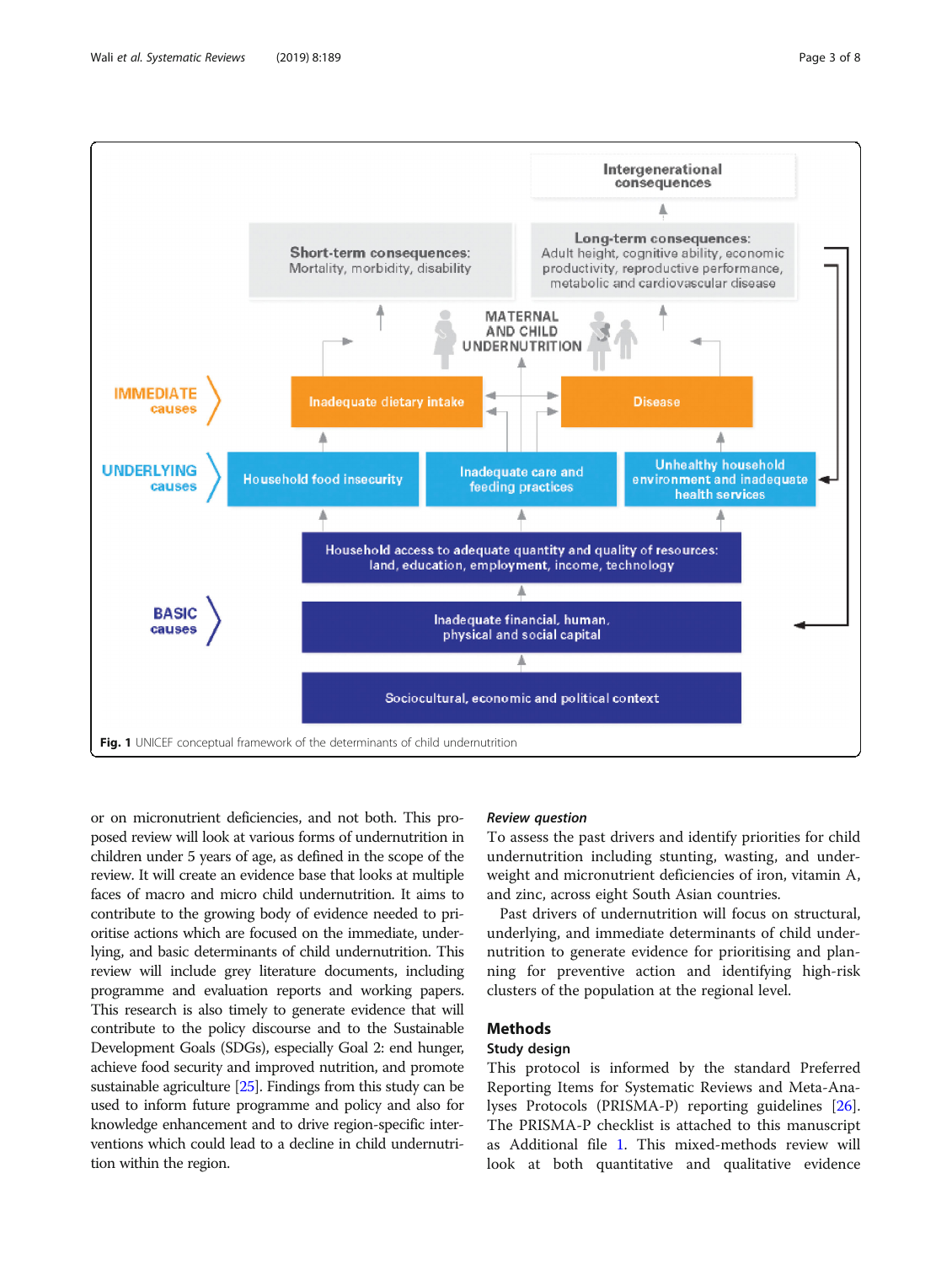<span id="page-2-0"></span>

or on micronutrient deficiencies, and not both. This proposed review will look at various forms of undernutrition in children under 5 years of age, as defined in the scope of the review. It will create an evidence base that looks at multiple faces of macro and micro child undernutrition. It aims to contribute to the growing body of evidence needed to prioritise actions which are focused on the immediate, underlying, and basic determinants of child undernutrition. This review will include grey literature documents, including programme and evaluation reports and working papers. This research is also timely to generate evidence that will contribute to the policy discourse and to the Sustainable Development Goals (SDGs), especially Goal 2: end hunger, achieve food security and improved nutrition, and promote sustainable agriculture [[25](#page-6-0)]. Findings from this study can be used to inform future programme and policy and also for knowledge enhancement and to drive region-specific interventions which could lead to a decline in child undernutrition within the region.

#### Review question

To assess the past drivers and identify priorities for child undernutrition including stunting, wasting, and underweight and micronutrient deficiencies of iron, vitamin A, and zinc, across eight South Asian countries.

Past drivers of undernutrition will focus on structural, underlying, and immediate determinants of child undernutrition to generate evidence for prioritising and planning for preventive action and identifying high-risk clusters of the population at the regional level.

#### Methods

#### Study design

This protocol is informed by the standard Preferred Reporting Items for Systematic Reviews and Meta-Analyses Protocols (PRISMA-P) reporting guidelines [\[26](#page-6-0)]. The PRISMA-P checklist is attached to this manuscript as Additional file [1.](#page-6-0) This mixed-methods review will look at both quantitative and qualitative evidence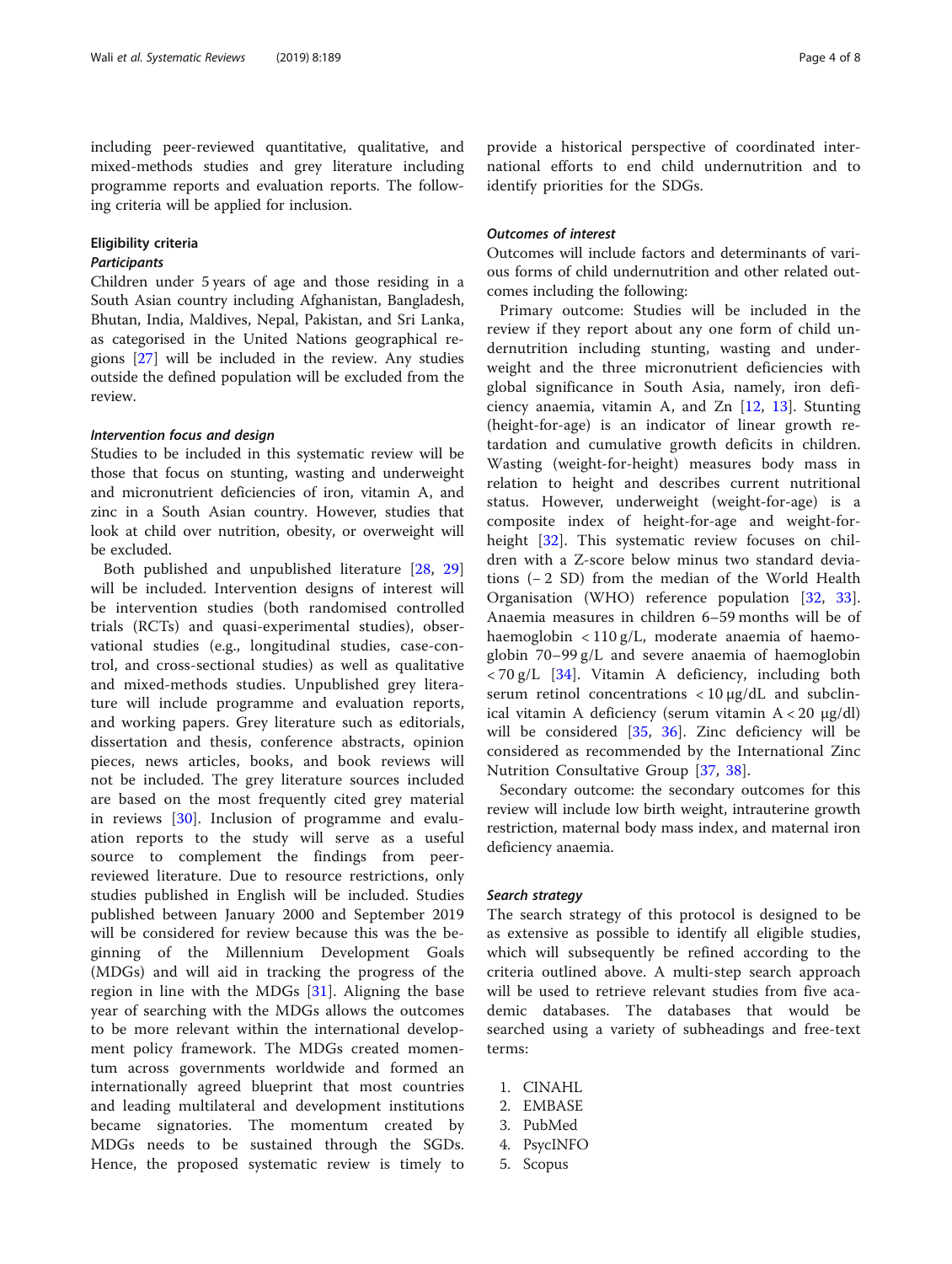including peer-reviewed quantitative, qualitative, and mixed-methods studies and grey literature including programme reports and evaluation reports. The following criteria will be applied for inclusion.

#### Eligibility criteria

#### Participants

Children under 5 years of age and those residing in a South Asian country including Afghanistan, Bangladesh, Bhutan, India, Maldives, Nepal, Pakistan, and Sri Lanka, as categorised in the United Nations geographical regions [\[27\]](#page-6-0) will be included in the review. Any studies outside the defined population will be excluded from the review.

#### Intervention focus and design

Studies to be included in this systematic review will be those that focus on stunting, wasting and underweight and micronutrient deficiencies of iron, vitamin A, and zinc in a South Asian country. However, studies that look at child over nutrition, obesity, or overweight will be excluded.

Both published and unpublished literature [[28,](#page-6-0) [29](#page-6-0)] will be included. Intervention designs of interest will be intervention studies (both randomised controlled trials (RCTs) and quasi-experimental studies), observational studies (e.g., longitudinal studies, case-control, and cross-sectional studies) as well as qualitative and mixed-methods studies. Unpublished grey literature will include programme and evaluation reports, and working papers. Grey literature such as editorials, dissertation and thesis, conference abstracts, opinion pieces, news articles, books, and book reviews will not be included. The grey literature sources included are based on the most frequently cited grey material in reviews [\[30\]](#page-7-0). Inclusion of programme and evaluation reports to the study will serve as a useful source to complement the findings from peerreviewed literature. Due to resource restrictions, only studies published in English will be included. Studies published between January 2000 and September 2019 will be considered for review because this was the beginning of the Millennium Development Goals (MDGs) and will aid in tracking the progress of the region in line with the MDGs  $[31]$  $[31]$ . Aligning the base year of searching with the MDGs allows the outcomes to be more relevant within the international development policy framework. The MDGs created momentum across governments worldwide and formed an internationally agreed blueprint that most countries and leading multilateral and development institutions became signatories. The momentum created by MDGs needs to be sustained through the SGDs. Hence, the proposed systematic review is timely to

provide a historical perspective of coordinated international efforts to end child undernutrition and to identify priorities for the SDGs.

#### Outcomes of interest

Outcomes will include factors and determinants of various forms of child undernutrition and other related outcomes including the following:

Primary outcome: Studies will be included in the review if they report about any one form of child undernutrition including stunting, wasting and underweight and the three micronutrient deficiencies with global significance in South Asia, namely, iron deficiency anaemia, vitamin A, and Zn  $[12, 13]$  $[12, 13]$  $[12, 13]$  $[12, 13]$ . Stunting (height-for-age) is an indicator of linear growth retardation and cumulative growth deficits in children. Wasting (weight-for-height) measures body mass in relation to height and describes current nutritional status. However, underweight (weight-for-age) is a composite index of height-for-age and weight-forheight [[32\]](#page-7-0). This systematic review focuses on children with a Z-score below minus two standard deviations (− 2 SD) from the median of the World Health Organisation (WHO) reference population [\[32](#page-7-0), [33](#page-7-0)]. Anaemia measures in children 6–59 months will be of haemoglobin < 110 g/L, moderate anaemia of haemoglobin 70–99 g/L and severe anaemia of haemoglobin  $<$  70 g/L [[34\]](#page-7-0). Vitamin A deficiency, including both serum retinol concentrations  $\langle 10 \mu g/dL \rangle$  and subclinical vitamin A deficiency (serum vitamin A < 20 μg/dl) will be considered [[35,](#page-7-0) [36](#page-7-0)]. Zinc deficiency will be considered as recommended by the International Zinc Nutrition Consultative Group [\[37](#page-7-0), [38](#page-7-0)].

Secondary outcome: the secondary outcomes for this review will include low birth weight, intrauterine growth restriction, maternal body mass index, and maternal iron deficiency anaemia.

#### Search strategy

The search strategy of this protocol is designed to be as extensive as possible to identify all eligible studies, which will subsequently be refined according to the criteria outlined above. A multi-step search approach will be used to retrieve relevant studies from five academic databases. The databases that would be searched using a variety of subheadings and free-text terms:

- 1. CINAHL
- 2. EMBASE
- 3. PubMed
- 4. PsycINFO
- 5. Scopus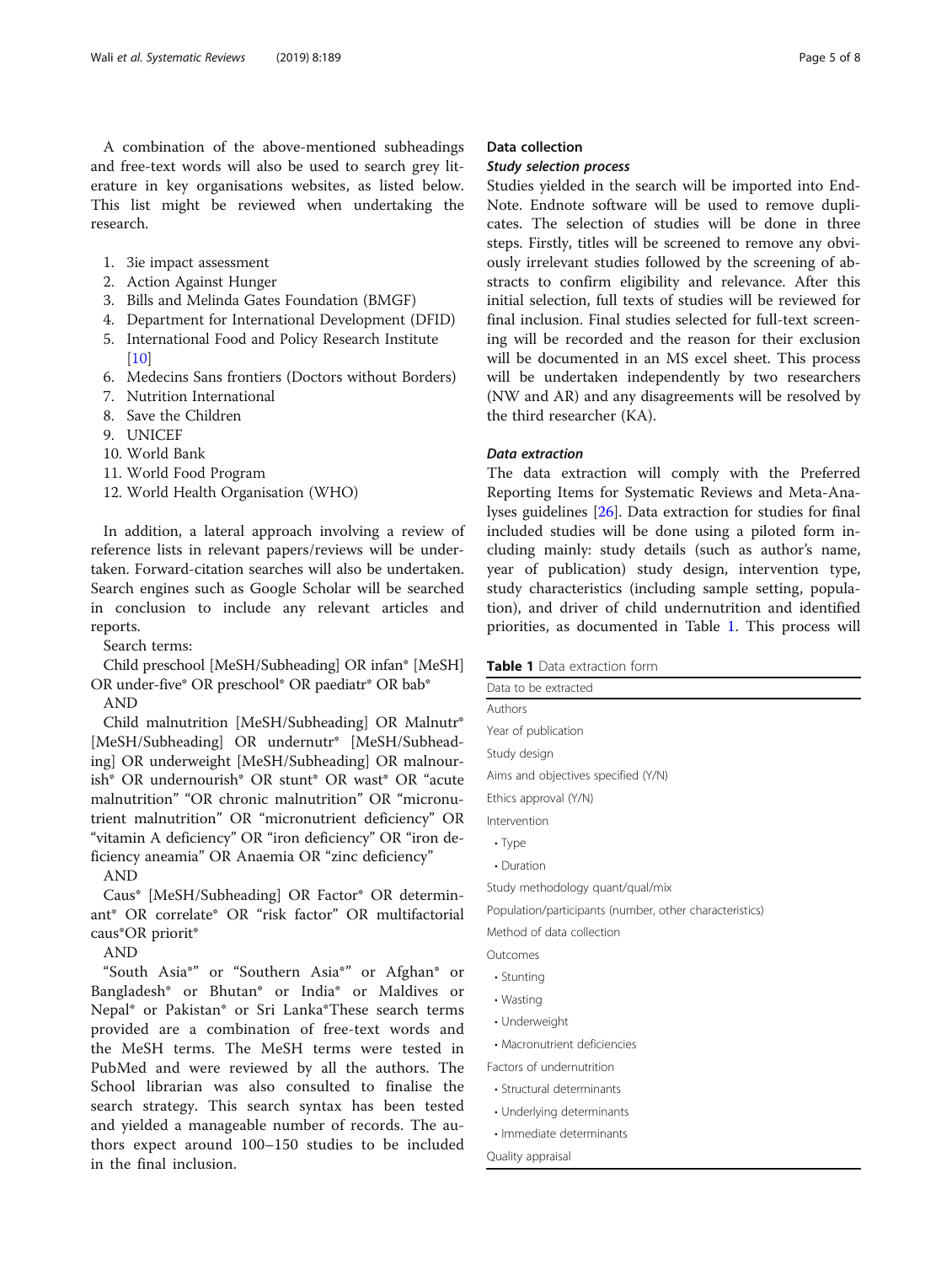A combination of the above-mentioned subheadings and free-text words will also be used to search grey literature in key organisations websites, as listed below. This list might be reviewed when undertaking the research.

- 1. 3ie impact assessment
- 2. Action Against Hunger
- 3. Bills and Melinda Gates Foundation (BMGF)
- 4. Department for International Development (DFID)
- 5. International Food and Policy Research Institute [\[10](#page-6-0)]
- 6. Medecins Sans frontiers (Doctors without Borders)
- 7. Nutrition International
- 8. Save the Children
- 9. UNICEF
- 10. World Bank
- 11. World Food Program
- 12. World Health Organisation (WHO)

In addition, a lateral approach involving a review of reference lists in relevant papers/reviews will be undertaken. Forward-citation searches will also be undertaken. Search engines such as Google Scholar will be searched in conclusion to include any relevant articles and reports.

Search terms:

Child preschool [MeSH/Subheading] OR infan\* [MeSH] OR under-five\* OR preschool\* OR paediatr\* OR bab\*

AND

Child malnutrition [MeSH/Subheading] OR Malnutr\* [MeSH/Subheading] OR undernutr\* [MeSH/Subheading] OR underweight [MeSH/Subheading] OR malnourish\* OR undernourish\* OR stunt\* OR wast\* OR "acute malnutrition" "OR chronic malnutrition" OR "micronutrient malnutrition" OR "micronutrient deficiency" OR "vitamin A deficiency" OR "iron deficiency" OR "iron deficiency aneamia" OR Anaemia OR "zinc deficiency"

AND

Caus\* [MeSH/Subheading] OR Factor\* OR determinant\* OR correlate\* OR "risk factor" OR multifactorial caus\*OR priorit\*

AND

"South Asia\*" or "Southern Asia\*" or Afghan\* or Bangladesh\* or Bhutan\* or India\* or Maldives or Nepal\* or Pakistan\* or Sri Lanka\*These search terms provided are a combination of free-text words and the MeSH terms. The MeSH terms were tested in PubMed and were reviewed by all the authors. The School librarian was also consulted to finalise the search strategy. This search syntax has been tested and yielded a manageable number of records. The authors expect around 100–150 studies to be included in the final inclusion.

#### Data collection

#### Study selection process

Studies yielded in the search will be imported into End-Note. Endnote software will be used to remove duplicates. The selection of studies will be done in three steps. Firstly, titles will be screened to remove any obviously irrelevant studies followed by the screening of abstracts to confirm eligibility and relevance. After this initial selection, full texts of studies will be reviewed for final inclusion. Final studies selected for full-text screening will be recorded and the reason for their exclusion will be documented in an MS excel sheet. This process will be undertaken independently by two researchers (NW and AR) and any disagreements will be resolved by the third researcher (KA).

#### Data extraction

The data extraction will comply with the Preferred Reporting Items for Systematic Reviews and Meta-Analyses guidelines [\[26](#page-6-0)]. Data extraction for studies for final included studies will be done using a piloted form including mainly: study details (such as author's name, year of publication) study design, intervention type, study characteristics (including sample setting, population), and driver of child undernutrition and identified priorities, as documented in Table 1. This process will

Table 1 Data extraction form

| Data to be extracted                                    |  |
|---------------------------------------------------------|--|
| Authors                                                 |  |
| Year of publication                                     |  |
| Study design                                            |  |
| Aims and objectives specified (Y/N)                     |  |
| Ethics approval (Y/N)                                   |  |
| Intervention                                            |  |
| $\cdot$ Type                                            |  |
| • Duration                                              |  |
| Study methodology quant/qual/mix                        |  |
| Population/participants (number, other characteristics) |  |
| Method of data collection                               |  |
| Outcomes                                                |  |
| • Stunting                                              |  |
| • Wasting                                               |  |
| • Underweight                                           |  |
| • Macronutrient deficiencies                            |  |
| Factors of undernutrition                               |  |
| • Structural determinants                               |  |
| • Underlying determinants                               |  |
| · Immediate determinants                                |  |
| Quality appraisal                                       |  |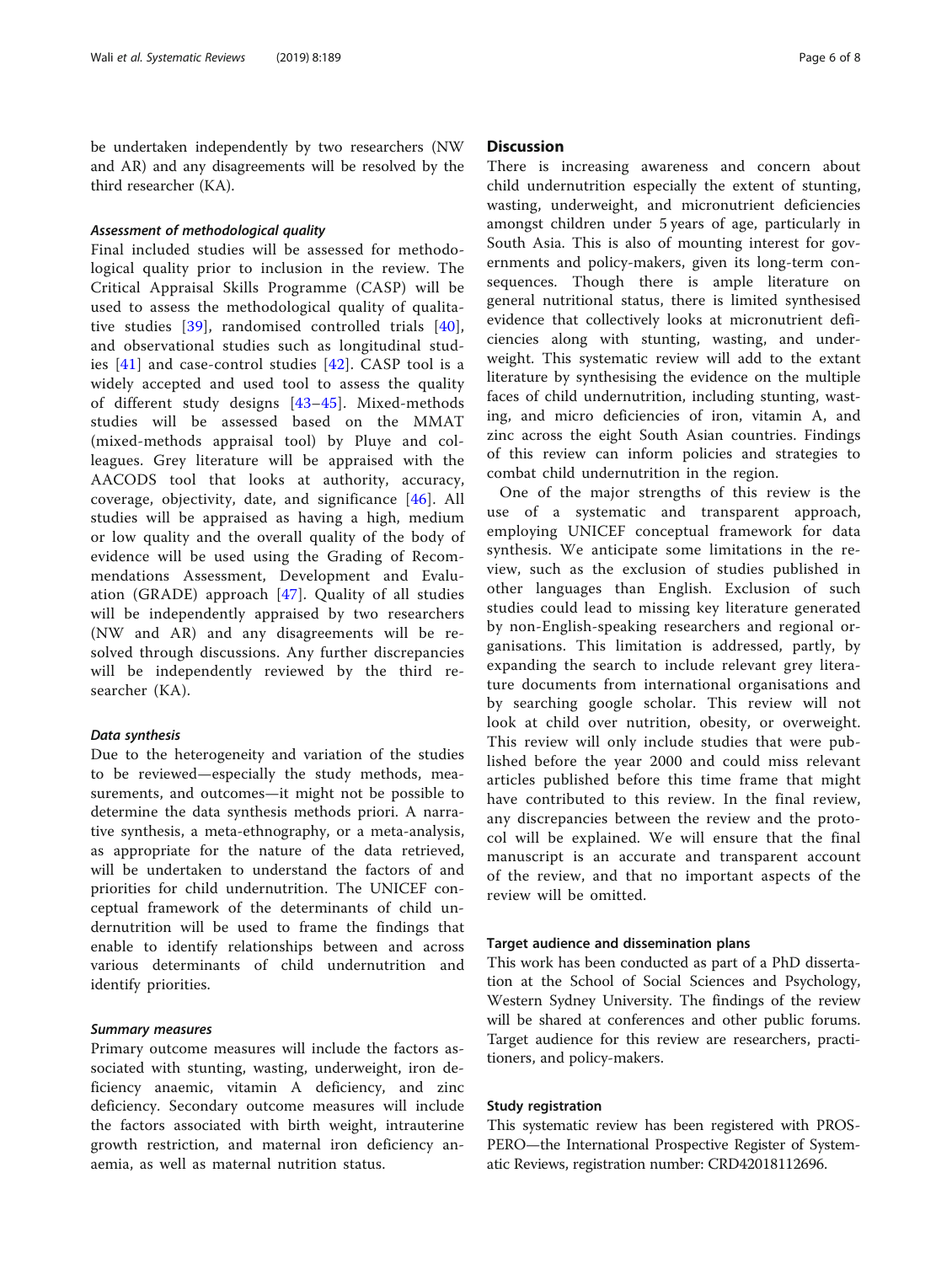be undertaken independently by two researchers (NW and AR) and any disagreements will be resolved by the third researcher (KA).

#### Assessment of methodological quality

Final included studies will be assessed for methodological quality prior to inclusion in the review. The Critical Appraisal Skills Programme (CASP) will be used to assess the methodological quality of qualitative studies [[39](#page-7-0)], randomised controlled trials [[40](#page-7-0)], and observational studies such as longitudinal studies [\[41\]](#page-7-0) and case-control studies [[42\]](#page-7-0). CASP tool is a widely accepted and used tool to assess the quality of different study designs [[43](#page-7-0)–[45](#page-7-0)]. Mixed-methods studies will be assessed based on the MMAT (mixed-methods appraisal tool) by Pluye and colleagues. Grey literature will be appraised with the AACODS tool that looks at authority, accuracy, coverage, objectivity, date, and significance [[46](#page-7-0)]. All studies will be appraised as having a high, medium or low quality and the overall quality of the body of evidence will be used using the Grading of Recommendations Assessment, Development and Evaluation (GRADE) approach [\[47](#page-7-0)]. Quality of all studies will be independently appraised by two researchers (NW and AR) and any disagreements will be resolved through discussions. Any further discrepancies will be independently reviewed by the third researcher (KA).

#### Data synthesis

Due to the heterogeneity and variation of the studies to be reviewed—especially the study methods, measurements, and outcomes—it might not be possible to determine the data synthesis methods priori. A narrative synthesis, a meta-ethnography, or a meta-analysis, as appropriate for the nature of the data retrieved, will be undertaken to understand the factors of and priorities for child undernutrition. The UNICEF conceptual framework of the determinants of child undernutrition will be used to frame the findings that enable to identify relationships between and across various determinants of child undernutrition and identify priorities.

#### Summary measures

Primary outcome measures will include the factors associated with stunting, wasting, underweight, iron deficiency anaemic, vitamin A deficiency, and zinc deficiency. Secondary outcome measures will include the factors associated with birth weight, intrauterine growth restriction, and maternal iron deficiency anaemia, as well as maternal nutrition status.

#### **Discussion**

There is increasing awareness and concern about child undernutrition especially the extent of stunting, wasting, underweight, and micronutrient deficiencies amongst children under 5 years of age, particularly in South Asia. This is also of mounting interest for governments and policy-makers, given its long-term consequences. Though there is ample literature on general nutritional status, there is limited synthesised evidence that collectively looks at micronutrient deficiencies along with stunting, wasting, and underweight. This systematic review will add to the extant literature by synthesising the evidence on the multiple faces of child undernutrition, including stunting, wasting, and micro deficiencies of iron, vitamin A, and zinc across the eight South Asian countries. Findings of this review can inform policies and strategies to combat child undernutrition in the region.

One of the major strengths of this review is the use of a systematic and transparent approach, employing UNICEF conceptual framework for data synthesis. We anticipate some limitations in the review, such as the exclusion of studies published in other languages than English. Exclusion of such studies could lead to missing key literature generated by non-English-speaking researchers and regional organisations. This limitation is addressed, partly, by expanding the search to include relevant grey literature documents from international organisations and by searching google scholar. This review will not look at child over nutrition, obesity, or overweight. This review will only include studies that were published before the year 2000 and could miss relevant articles published before this time frame that might have contributed to this review. In the final review, any discrepancies between the review and the protocol will be explained. We will ensure that the final manuscript is an accurate and transparent account of the review, and that no important aspects of the review will be omitted.

#### Target audience and dissemination plans

This work has been conducted as part of a PhD dissertation at the School of Social Sciences and Psychology, Western Sydney University. The findings of the review will be shared at conferences and other public forums. Target audience for this review are researchers, practitioners, and policy-makers.

#### Study registration

This systematic review has been registered with PROS-PERO—the International Prospective Register of Systematic Reviews, registration number: CRD42018112696.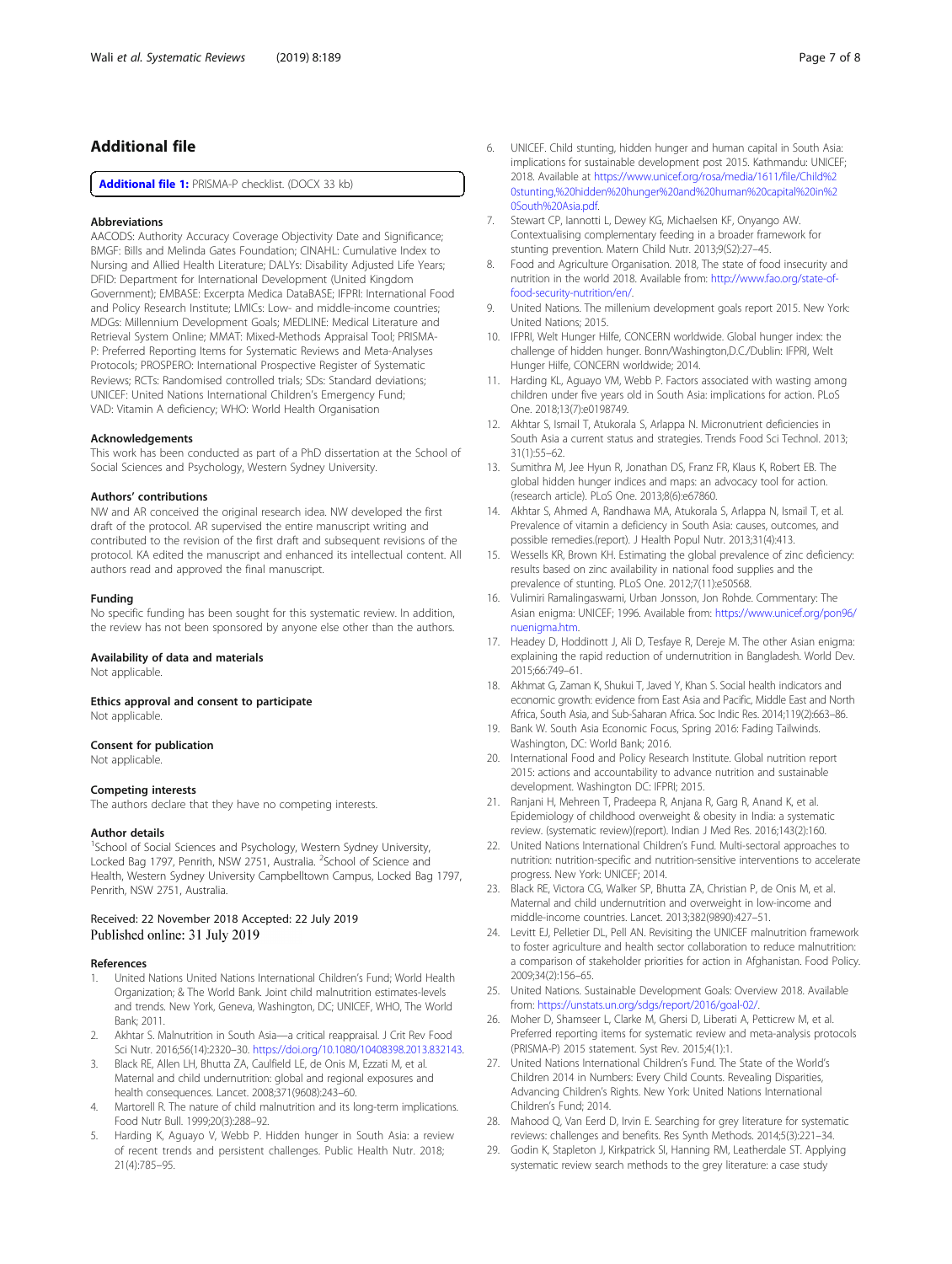#### <span id="page-6-0"></span>Additional file

[Additional file 1:](https://doi.org/10.1186/s13643-019-1112-7) PRISMA-P checklist. (DOCX 33 kb)

#### Abbreviations

AACODS: Authority Accuracy Coverage Objectivity Date and Significance; BMGF: Bills and Melinda Gates Foundation; CINAHL: Cumulative Index to Nursing and Allied Health Literature; DALYs: Disability Adjusted Life Years; DFID: Department for International Development (United Kingdom Government); EMBASE: Excerpta Medica DataBASE; IFPRI: International Food and Policy Research Institute; LMICs: Low- and middle-income countries; MDGs: Millennium Development Goals; MEDLINE: Medical Literature and Retrieval System Online; MMAT: Mixed-Methods Appraisal Tool; PRISMA-P: Preferred Reporting Items for Systematic Reviews and Meta-Analyses Protocols; PROSPERO: International Prospective Register of Systematic Reviews; RCTs: Randomised controlled trials; SDs: Standard deviations; UNICEF: United Nations International Children's Emergency Fund; VAD: Vitamin A deficiency; WHO: World Health Organisation

#### Acknowledgements

This work has been conducted as part of a PhD dissertation at the School of Social Sciences and Psychology, Western Sydney University.

#### Authors' contributions

NW and AR conceived the original research idea. NW developed the first draft of the protocol. AR supervised the entire manuscript writing and contributed to the revision of the first draft and subsequent revisions of the protocol. KA edited the manuscript and enhanced its intellectual content. All authors read and approved the final manuscript.

#### Funding

No specific funding has been sought for this systematic review. In addition, the review has not been sponsored by anyone else other than the authors.

#### Availability of data and materials

Not applicable.

#### Ethics approval and consent to participate

Not applicable.

#### Consent for publication

Not applicable.

#### Competing interests

The authors declare that they have no competing interests.

#### Author details

<sup>1</sup>School of Social Sciences and Psychology, Western Sydney University, Locked Bag 1797, Penrith, NSW 2751, Australia. <sup>2</sup>School of Science and Health, Western Sydney University Campbelltown Campus, Locked Bag 1797, Penrith, NSW 2751, Australia.

#### Received: 22 November 2018 Accepted: 22 July 2019 Published online: 31 July 2019

#### References

- 1. United Nations United Nations International Children's Fund; World Health Organization; & The World Bank. Joint child malnutrition estimates-levels and trends. New York, Geneva, Washington, DC; UNICEF, WHO, The World Bank; 2011.
- 2. Akhtar S. Malnutrition in South Asia—a critical reappraisal. J Crit Rev Food Sci Nutr. 2016;56(14):2320–30. <https://doi.org/10.1080/10408398.2013.832143>.
- 3. Black RE, Allen LH, Bhutta ZA, Caulfield LE, de Onis M, Ezzati M, et al. Maternal and child undernutrition: global and regional exposures and health consequences. Lancet. 2008;371(9608):243–60.
- 4. Martorell R. The nature of child malnutrition and its long-term implications. Food Nutr Bull. 1999;20(3):288–92.
- 5. Harding K, Aguayo V, Webb P. Hidden hunger in South Asia: a review of recent trends and persistent challenges. Public Health Nutr. 2018; 21(4):785–95.
- 6. UNICEF. Child stunting, hidden hunger and human capital in South Asia: implications for sustainable development post 2015. Kathmandu: UNICEF; 2018. Available at [https://www.unicef.org/rosa/media/1611/file/Child%2](https://www.unicef.org/rosa/media/1611/file/Child%20stunting,%20hidden%20hunger%20and%20human%20capital%20in%20South%20Asia.pdf) [0stunting,%20hidden%20hunger%20and%20human%20capital%20in%2](https://www.unicef.org/rosa/media/1611/file/Child%20stunting,%20hidden%20hunger%20and%20human%20capital%20in%20South%20Asia.pdf) [0South%20Asia.pdf](https://www.unicef.org/rosa/media/1611/file/Child%20stunting,%20hidden%20hunger%20and%20human%20capital%20in%20South%20Asia.pdf).
- 7. Stewart CP, Iannotti L, Dewey KG, Michaelsen KF, Onyango AW. Contextualising complementary feeding in a broader framework for stunting prevention. Matern Child Nutr. 2013;9(S2):27–45.
- 8. Food and Agriculture Organisation. 2018, The state of food insecurity and nutrition in the world 2018. Available from: [http://www.fao.org/state-of](http://www.fao.org/state-of-food-security-nutrition/en/)[food-security-nutrition/en/](http://www.fao.org/state-of-food-security-nutrition/en/).
- 9. United Nations. The millenium development goals report 2015. New York: United Nations; 2015.
- 10. IFPRI, Welt Hunger Hilfe, CONCERN worldwide. Global hunger index: the challenge of hidden hunger. Bonn/Washington,D.C./Dublin: IFPRI, Welt Hunger Hilfe, CONCERN worldwide; 2014.
- 11. Harding KL, Aguayo VM, Webb P. Factors associated with wasting among children under five years old in South Asia: implications for action. PLoS One. 2018;13(7):e0198749.
- 12. Akhtar S, Ismail T, Atukorala S, Arlappa N. Micronutrient deficiencies in South Asia a current status and strategies. Trends Food Sci Technol. 2013; 31(1):55–62.
- 13. Sumithra M, Jee Hyun R, Jonathan DS, Franz FR, Klaus K, Robert EB. The global hidden hunger indices and maps: an advocacy tool for action. (research article). PLoS One. 2013;8(6):e67860.
- 14. Akhtar S, Ahmed A, Randhawa MA, Atukorala S, Arlappa N, Ismail T, et al. Prevalence of vitamin a deficiency in South Asia: causes, outcomes, and possible remedies.(report). J Health Popul Nutr. 2013;31(4):413.
- 15. Wessells KR, Brown KH. Estimating the global prevalence of zinc deficiency: results based on zinc availability in national food supplies and the prevalence of stunting. PLoS One. 2012;7(11):e50568.
- 16. Vulimiri Ramalingaswami, Urban Jonsson, Jon Rohde. Commentary: The Asian enigma: UNICEF; 1996. Available from: [https://www.unicef.org/pon96/](https://www.unicef.org/pon96/nuenigma.htm) [nuenigma.htm.](https://www.unicef.org/pon96/nuenigma.htm)
- 17. Headey D, Hoddinott J, Ali D, Tesfaye R, Dereje M. The other Asian enigma: explaining the rapid reduction of undernutrition in Bangladesh. World Dev. 2015;66:749–61.
- 18. Akhmat G, Zaman K, Shukui T, Javed Y, Khan S. Social health indicators and economic growth: evidence from East Asia and Pacific, Middle East and North Africa, South Asia, and Sub-Saharan Africa. Soc Indic Res. 2014;119(2):663–86.
- 19. Bank W. South Asia Economic Focus, Spring 2016: Fading Tailwinds. Washington, DC: World Bank; 2016.
- 20. International Food and Policy Research Institute. Global nutrition report 2015: actions and accountability to advance nutrition and sustainable development. Washington DC: IFPRI; 2015.
- 21. Ranjani H, Mehreen T, Pradeepa R, Anjana R, Garg R, Anand K, et al. Epidemiology of childhood overweight & obesity in India: a systematic review. (systematic review)(report). Indian J Med Res. 2016;143(2):160.
- 22. United Nations International Children's Fund. Multi-sectoral approaches to nutrition: nutrition-specific and nutrition-sensitive interventions to accelerate progress. New York: UNICEF; 2014.
- 23. Black RE, Victora CG, Walker SP, Bhutta ZA, Christian P, de Onis M, et al. Maternal and child undernutrition and overweight in low-income and middle-income countries. Lancet. 2013;382(9890):427–51.
- 24. Levitt EJ, Pelletier DL, Pell AN. Revisiting the UNICEF malnutrition framework to foster agriculture and health sector collaboration to reduce malnutrition: a comparison of stakeholder priorities for action in Afghanistan. Food Policy. 2009;34(2):156–65.
- 25. United Nations. Sustainable Development Goals: Overview 2018. Available from: <https://unstats.un.org/sdgs/report/2016/goal-02/>.
- 26. Moher D, Shamseer L, Clarke M, Ghersi D, Liberati A, Petticrew M, et al. Preferred reporting items for systematic review and meta-analysis protocols (PRISMA-P) 2015 statement. Syst Rev. 2015;4(1):1.
- 27. United Nations International Children's Fund. The State of the World's Children 2014 in Numbers: Every Child Counts. Revealing Disparities, Advancing Children's Rights. New York: United Nations International Children's Fund; 2014.
- 28. Mahood Q, Van Eerd D, Irvin E. Searching for grey literature for systematic reviews: challenges and benefits. Res Synth Methods. 2014;5(3):221–34.
- 29. Godin K, Stapleton J, Kirkpatrick SI, Hanning RM, Leatherdale ST. Applying systematic review search methods to the grey literature: a case study